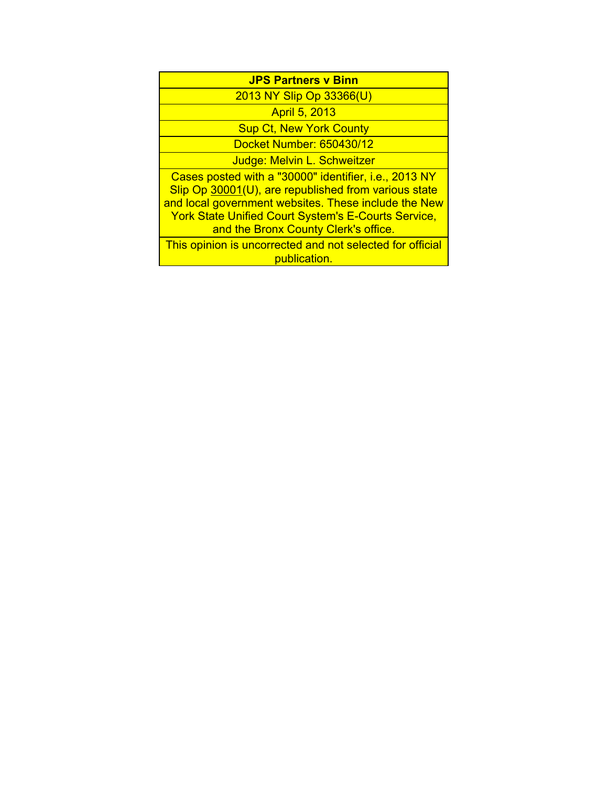| <b>JPS Partners v Binn</b>                                                                                                                                                                                                                                                  |  |  |
|-----------------------------------------------------------------------------------------------------------------------------------------------------------------------------------------------------------------------------------------------------------------------------|--|--|
| 2013 NY Slip Op 33366(U)                                                                                                                                                                                                                                                    |  |  |
| <b>April 5, 2013</b>                                                                                                                                                                                                                                                        |  |  |
| <b>Sup Ct, New York County</b>                                                                                                                                                                                                                                              |  |  |
| Docket Number: 650430/12                                                                                                                                                                                                                                                    |  |  |
| Judge: Melvin L. Schweitzer                                                                                                                                                                                                                                                 |  |  |
| Cases posted with a "30000" identifier, i.e., 2013 NY<br>Slip Op 30001(U), are republished from various state<br>and local government websites. These include the New<br><b>York State Unified Court System's E-Courts Service,</b><br>and the Bronx County Clerk's office. |  |  |
| This opinion is uncorrected and not selected for official<br>publication.                                                                                                                                                                                                   |  |  |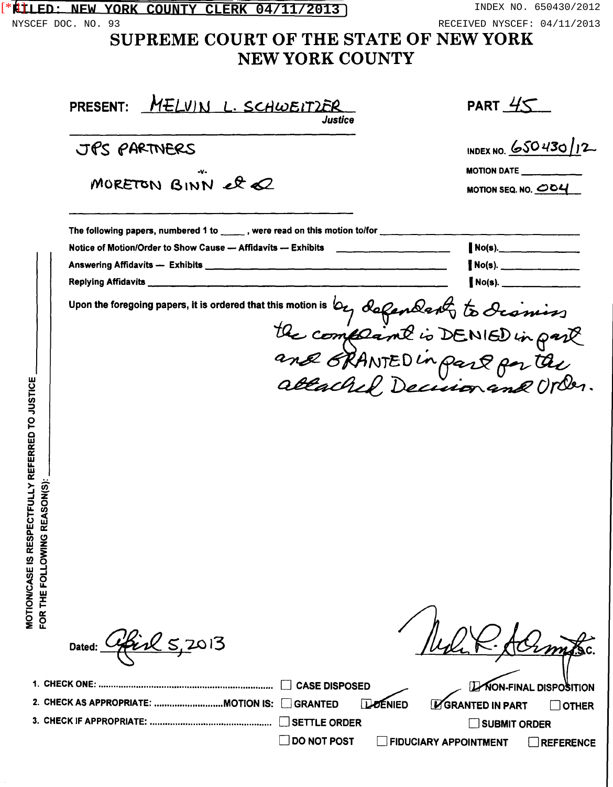| FLIED: NEW YORK COUNTY CLERK 04/11/2013                                                                                                                                                                                                      | INDEX NO. 650430/2012                                                                                                                                   |
|----------------------------------------------------------------------------------------------------------------------------------------------------------------------------------------------------------------------------------------------|---------------------------------------------------------------------------------------------------------------------------------------------------------|
| NYSCEF DOC. NO. 93<br>SUPREME COURT OF THE STATE OF NEW YORK<br><b>NEW YORK COUNTY</b>                                                                                                                                                       | RECEIVED NYSCEF: 04/11/2013                                                                                                                             |
| PRESENT: MELVIN L. SCHWEITZER<br>Justice                                                                                                                                                                                                     | PART $45$                                                                                                                                               |
| JPS PARTNERS                                                                                                                                                                                                                                 | INDEX NO. 650430/12                                                                                                                                     |
| MORETON BINN et 2                                                                                                                                                                                                                            | <b>MOTION DATE <math>\_\_\_\_\_\_\_\_\_\_\_\_\_\_\_\_\_\_</math></b><br>MOTION SEQ. NO. $\overline{\mathcal{O}O4}$                                      |
| The following papers, numbered 1 to _____, were read on this motion to/for _____________<br>upon the foregoing papers, it is ordered that this motion is by defendent to dismins<br><b>DTOJUSTICE</b><br>MOTION/CASE IS RESPECTFULLY REFERRE | $No(s)$ .                                                                                                                                               |
| FOR THE FOLLOWING REASON(S):<br><b>CASE DISPOSED</b><br><b>GRANTED</b><br><b>SETTLE ORDER</b><br><b>DO NOT POST</b>                                                                                                                          | NON-FINAL DISPOSITION<br><b>LOENIED</b><br><b>L'GRANTED IN PART</b><br><b>OTHER</b><br>SUBMIT ORDER<br><b>FIDUCIARY APPOINTMENT</b><br><b>REFERENCE</b> |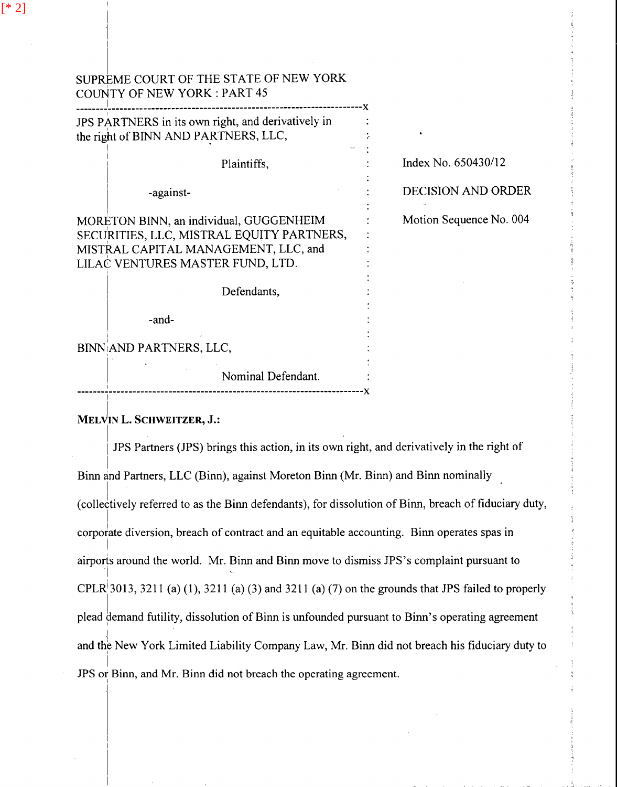| SUPREME COURT OF THE STATE OF NEW YORK<br>COUNTY OF NEW YORK : PART 45                                                                                           |                           |
|------------------------------------------------------------------------------------------------------------------------------------------------------------------|---------------------------|
| JPS PARTNERS in its own right, and derivatively in<br>the right of BINN AND PARTNERS, LLC,                                                                       |                           |
| Plaintiffs,                                                                                                                                                      | Index No. 650430/12       |
| -against-                                                                                                                                                        | <b>DECISION AND ORDER</b> |
| MORETON BINN, an individual, GUGGENHEIM<br>SECURITIES, LLC, MISTRAL EQUITY PARTNERS,<br>MISTRAL CAPITAL MANAGEMENT, LLC, and<br>LILAC VENTURES MASTER FUND, LTD. | Motion Sequence No. 004   |
| Defendants,                                                                                                                                                      |                           |
| -and-                                                                                                                                                            |                           |
| BINN AND PARTNERS, LLC,                                                                                                                                          |                           |
| Nominal Defendant.                                                                                                                                               |                           |

## MELVIN L. SCHWEITZER, J.:

-------~----------------------------------------------------------------x I

JPS Partners (JPS) brings this action, in its own right, and derivatively in the right of  $\cdot$  III Binn and Partners, LLC (Binn), against Moreton Binn (Mr. Binn) and Binn nominally (collectively referred to as the Binn defendants), for dissolution of Binn, breach of fiduciary duty, corporate diversion, breach of contract and an equitable accounting. Binn operates spas in  $\vert$ airports around the world. Mr. Binn and Binn move to dismiss JPS's complaint pursuant to I CPLR<sup> $\vert$ </sup> 3013, 3211 (a) (1), 3211 (a) (3) and 3211 (a) (7) on the grounds that JPS failed to properly plead demand futility, dissolution of Binn is unfounded pursuant to Binn's operating agreement I and the New York Limited Liability Company Law, Mr. Binn did not breach his fiduciary duty to  $\vert$ JPS or Binn, and Mr. Binn did not breach the operating agreement.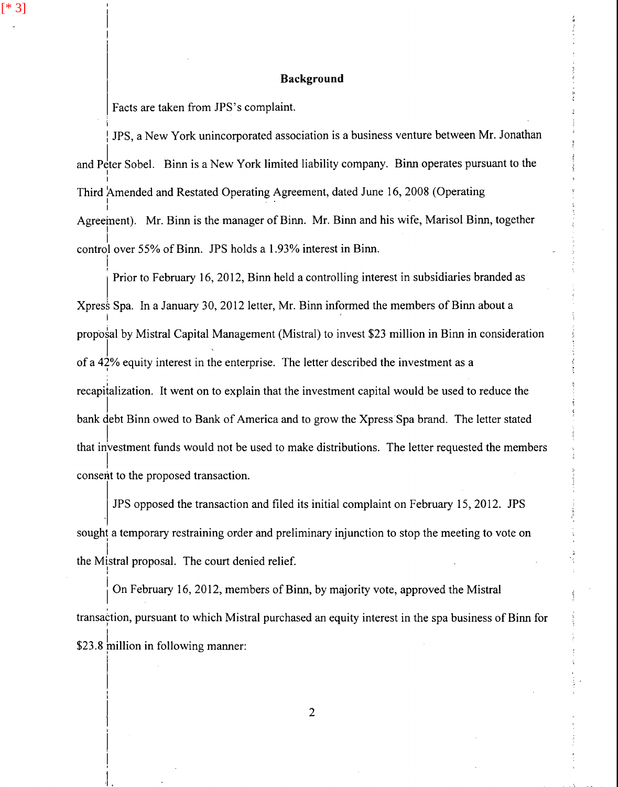## **Background**

Facts are taken from JPS's complaint.

i

[\* 3]

I

I

I

 $\vert$ 

!  $\mathbf{L}$ 

I JPS, a New York unincorporated association is a business venture between Mr. Jonathan and Peter Sobel. Binn is a New York limited liability company. Binn operates pursuant to the I I Third Amended and Restated Operating Agreement, dated June 16, 2008 (Operating I Agreeinent). Mr. Binn is the manager of Binn. Mr. Binn and his wife, Marisol Binn, together I control over 55% of Binn. JPS holds a l .93% interest in Binn. I

Prior to February 16, 2012, Binn held a controlling interest in subsidiaries branded as Xpress Spa. In a January 30, 2012 letter, Mr. Binn informed the members of Binn about a  $\mathbf{I} = \mathbf{I} \cdot \mathbf{I}$  , where  $\mathbf{I} = \mathbf{I} \cdot \mathbf{I}$  , where  $\mathbf{I} = \mathbf{I} \cdot \mathbf{I}$  , where  $\mathbf{I} = \mathbf{I} \cdot \mathbf{I}$ proposal by Mistral Capital Management (Mistral) to invest \$23 million in Binn in consideration  $j = \frac{1}{2}$ of a 42% equity interest in the enterprise. The letter described the investment as a <sup>I</sup> recapitalization. It went on to explain that the investment capital would be used to reduce the I bank debt Binn owed to Bank of America and to grow the Xpress Spa brand. The letter stated I that investment funds would not be used to make distributions. The letter requested the members I consent to the proposed transaction.

JPS opposed the transaction and filed its initial complaint on February 15, 2012. JPS sought a temporary restraining order and preliminary injunction to stop the meeting to vote on i the Mistral proposal. The court denied relief.

On February 16, 2012, members of Binn, by majority vote, approved the Mistral transaction, pursuant to which Mistral purchased an equity interest in the spa business of Binn for  $$23.8$  million in following manner: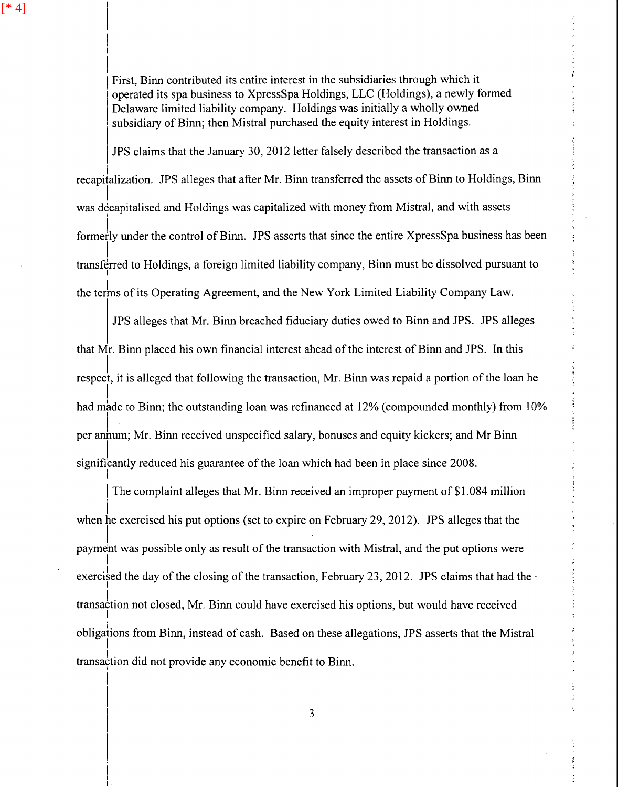I I I

 $\vert$ 

I

I

I  $\vert$ I

First, Binn contributed its entire interest in the subsidiaries through which it Belawine *Infined Hability* Company. Trotaings was initially a wheney come subsidiary of Binn; then Mistral purchased the equity interest in Holdings. operated its spa business to XpressSpa Holdings, LLC (Holdings), a newly formed Delaware limited liability company. Holdings was initially a wholly owned

JPS claims that the January 30, 2012 letter falsely described the transaction as a I recapitalization. JPS alleges that after Mr. Binn transferred the assets of Binn to Holdings, Binn I was decapitalised and Holdings was capitalized with money from Mistral, and with assets formerly under the control of Binn. JPS asserts that since the entire XpressSpa business has been I transferred to Holdings, a foreign limited liability company, Binn must be dissolved pursuant to I the terms of its Operating Agreement, and the New York Limited Liability Company Law.

JPS alleges that Mr. Binn breached fiduciary duties owed to Binn and JPS. JPS alleges that Mr. Binn placed his own financial interest ahead of the interest of Binn and JPS. In this  $\vert$ respect, it is alleged that following the transaction, Mr. Binn was repaid a portion of the loan he I had made to Binn; the outstanding loan was refinanced at 12% (compounded monthly) from 10% per annum; Mr. Binn received unspecified salary, bonuses and equity kickers; and Mr Binn I significantly reduced his guarantee of the loan which had been in place since 2008. I

The complaint alleges that Mr. Binn received an improper payment of \$1.084 million i when he exercised his put options (set to expire on February 29, 2012). JPS alleges that the  $\mathbf{I} = \mathbf{I} \times \mathbf{I}$  . The set of the set of the set of the set of the set of the set of the set of the set of the set of the set of the set of the set of the set of the set of the set of the set of the set of the set payment was possible only as result of the transaction with Mistral, and the put options were I exercised the day of the closing of the transaction, February 23, 2012. JPS claims that had the transaction not closed, Mr. Binn could have exercised his options, but would have received I obligations from Binn, instead of cash. Based on these allegations, JPS asserts that the Mistral I transaction did not provide any economic benefit to Binn.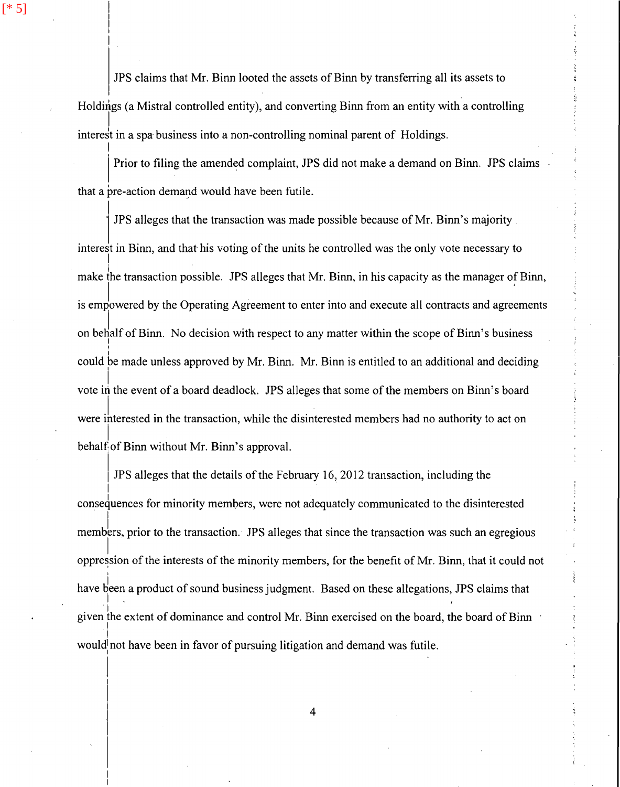JPS claims that Mr. Binn looted the assets of Binn by transferring all its assets to Holdings (a Mistral controlled entity), and converting Binn from an entity with a controlling I interest in a spa-business into a non-controlling nominal parent of Holdings.

I

[\* 5]

 $\vert$ 

 $\mathsf{I}$ 

Prior to filing the amended complaint, JPS did not make a demand on Binn. JPS claims that a pre-action demand would have been futile.

· JPS alleges that the transaction was made possible because of Mr. Binn's majority interest in Binn, and that his voting of the units he controlled was the only vote necessary to I make the transaction possible. JPS alleges that Mr. Binn, in his capacity as the manager of Binn, is empowered by the Operating Agreement to enter into and execute all contracts and agreements on behalf of Binn. No decision with respect to any matter within the scope of Binn's business I I could be made unless approved by Mr. Binn. Mr. Binn is entitled to an additional and deciding  $\vert$  . vote in the event of a board deadlock. JPS alleges that some of the members on Binn's board were interested in the transaction, while the disinterested members had no authority to act on I behalf of Binn without Mr. Binn's approval.

I JPS alleges that the details of the February 16, 2012 transaction, including the I consequences for minority members, were not adequately communicated to the disinterested members, prior to the transaction. JPS alleges that since the transaction was such an egregious  $\mathsf{I}_{\mathsf{I}}$ oppression of the interests of the minority members, for the benefit of Mr. Binn, that it could not I have been a product of sound business judgment. Based on these allegations, JPS claims that  $\mathbf{I}$ given the extent of dominance and control Mr. Binn exercised on the board, the board of Binn I I would not have been in favor of pursuing litigation and demand was futile.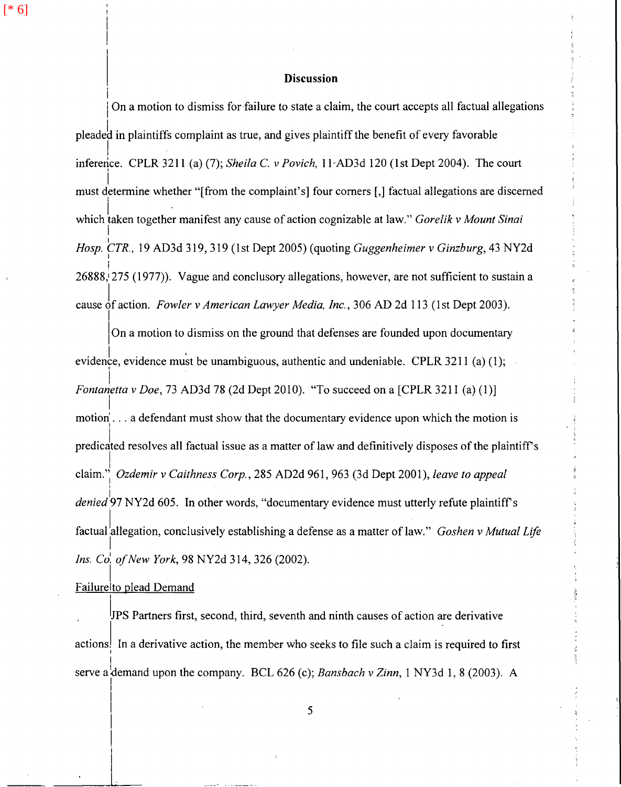[\* 6]

#### **Discussion**

I On a motion to dismiss for failure to state a claim, the court accepts all factual allegations pleadeb in plaintiffs complaint as true, and gives plaintiff the benefit of every favorable  $\frac{1}{2}$  . The set of  $\frac{1}{2}$ inference. CPLR 3211 (a) (7); *Sheila* C. *v Pavich,* l l-AD3d 120 (1st Dept 2004). The court i must determine whether "[from the complaint's] four comers[,] factual allegations are discerned  $j = 1, 2, \ldots, n$ which taken together manifest any cause of action cognizable at law." *Gorelik v Mount Sinai* I I *Hosp. CTR.,* 19 AD3d 319, 319 (1st Dept 2005) (quoting *Guggenheimer v Ginzburg,* 43 NY2d I ! 26888, 275 (1977)). Vague and conclusory allegations, however, are not sufficient to sustain a cause of action. *Fowler v American Lawyer Media, Inc.*, 306 AD 2d 113 (1st Dept 2003).

On a motion to dismiss on the ground that defenses are founded upon documentary evidence, evidence must be unambiguous, authentic and undeniable. CPLR 3211 (a) (1); İ. *Fontanetta v Doe,* 73 AD3d 78 (2d Dept 2010). "To succeed on a [CPLR 3211 (a) (I)]  $\vert$ motion' ... a defendant must show that the documentary evidence upon which the motion is predicated resolves all factual issue as a matter of law and definitively disposes of the plaintiff's I claim."<sup>1</sup> *Ozdemir v Caithness Corp.,* 285 AD2d 961, 963 (3d Dept 2001), *leave to appeal* I  $\mathsf{l}_{\mathsf{a}}$ *denied97* NY2d 605. In other words, "documentary evidence must utterly refute plaintiffs factual allegation, conclusively establishing a defense as a matter of law." *Goshen v Mutual Life* I *Ins. Co'. of New York,* 98 NY2d 314, 326 (2002).

#### I Failurelto plead Demand

 $\vert$ I I

 $\begin{bmatrix} 1 \\ 1 \end{bmatrix}$ 

. IJPS Partners first, second, third, seventh and ninth causes of action are derivative actions. In a derivative action, the member who seeks to file such a claim is required to first serve a demand upon the company. BCL 626 (c); *Bansbach v Zinn*, 1 NY3d 1, 8 (2003). A  $\vert$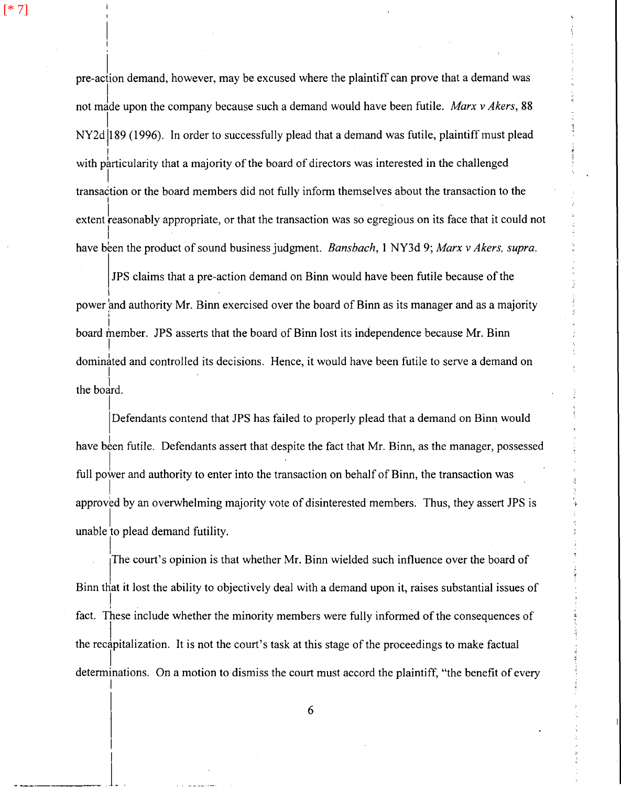[\* 7]

pre-aclion demand, however, may be excused where the plaintiff can prove that a demand *was*  not made upon the company because such a demand would have been futile. *Marx v Akers*, 88 1 NY2d jl 89 ( 1996). In order to successfully plead that a demand was futile, plaintiff must plead I with particularity that a majority of the board of directors was interested in the challenged I transaction or the board members did not fully inform themselves about the transaction to the I extent reasonably appropriate, or that the transaction was so egregious on its face that it could not I have been the product of sound business judgment. *Bansbach*, 1 NY3d 9; *Marx v Akers, supra.* 

JPS claims that a pre-action demand on Binn would have been futile because of the power and authority Mr. Binn exercised over the board of Binn as its manager and as a majority I board member. JPS asserts that the board of Binn lost its independence because Mr. Binn  $\vert$ dominated and controlled its decisions. Hence, it would have been futile to serve a demand on I the bodrd.

I Defendants contend that JPS has failed to properly plead that a demand on Binn would have been futile. Defendants assert that despite the fact that Mr. Binn, as the manager, possessed full power and authority to enter into the transaction on behalf of Binn, the transaction was I approved by an overwhelming majority vote of disinterested members. Thus, they assert JPS is unable to plead demand futility.

 $\overline{a}$ The court's opinion is that whether Mr. Binn wielded such influence over the board of Binn that it lost the ability to objectively deal with a demand upon it, raises substantial issues of ! fact. These include whether the minority members were fully informed of the consequences of the reclpitalization. It is not the court's task at this stage of the proceedings to make factual  $\vert$ determinations. On a motion to dismiss the court must accord the plaintiff, "the benefit of every I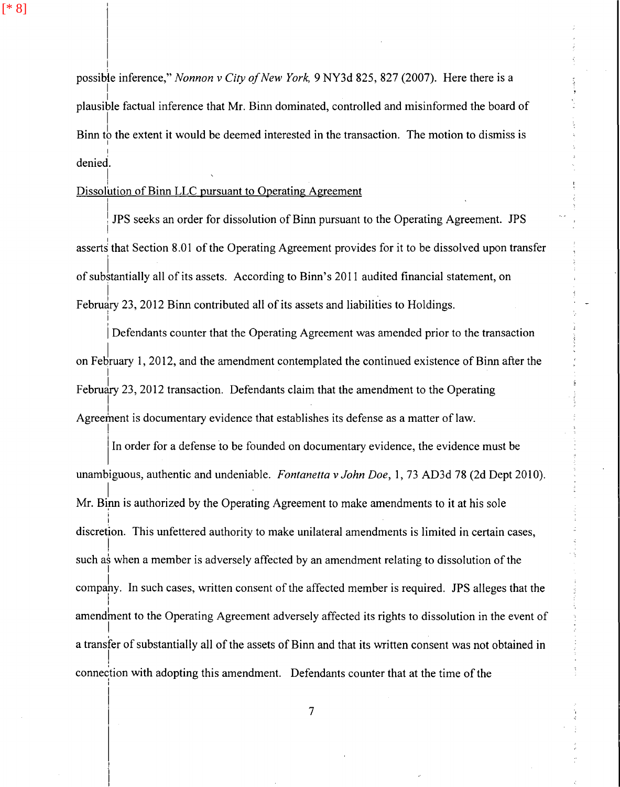I

I

possible inference," *Nonnon v City of New York*, 9 NY3d 825, 827 (2007). Here there is a I plausible factual inference that Mr. Binn dominated, controlled and misinformed the board of Binn to the extent it would be deemed interested in the transaction. The motion to dismiss is I !<br>. denied.

#### I Dissolution of Binn LLC pursuant to Operating Agreement

| JPS seeks an order for dissolution of Binn pursuant to the Operating Agreement. JPS<br>| asserts that Section 8.01 of the Operating Agreement provides for it to be dissolved upon transfer of substantially all of its assets. According to Binn's 2011 audited financial statement, on February 23, 2012 Binn contributed all of its assets and liabilities to Holdings.

Defendants counter that the Operating Agreement was amended prior to the transaction on February 1, 2012, and the amendment contemplated the continued existence of Binn after the I February 23, 2012 transaction. Defendants claim that the amendment to the Operating Agreement is documentary evidence that establishes its defense as a matter of law.

In order for a defense to be founded on documentary evidence, the evidence must be unambiguous, authentic and undeniable. *Fontanetta v John Doe,* 1, 73 AD3d 78 (2d Dept 2010). I Mr. Binn is authorized by the Operating Agreement to make amendments to it at his sole i I discretion. This unfettered authority to make unilateral amendments is limited in certain cases, I such as when a member is adversely affected by an amendment relating to dissolution of the I company. In such cases, written consent of the affected member is required. JPS alleges that the I amendment to the Operating Agreement adversely affected its rights to dissolution in the event of  $\vert$ a transfer of substantially all of the assets of Binn and that its written consent was not obtained in  $\vert$ connection with adopting this amendment. Defendants counter that at the time of the ' I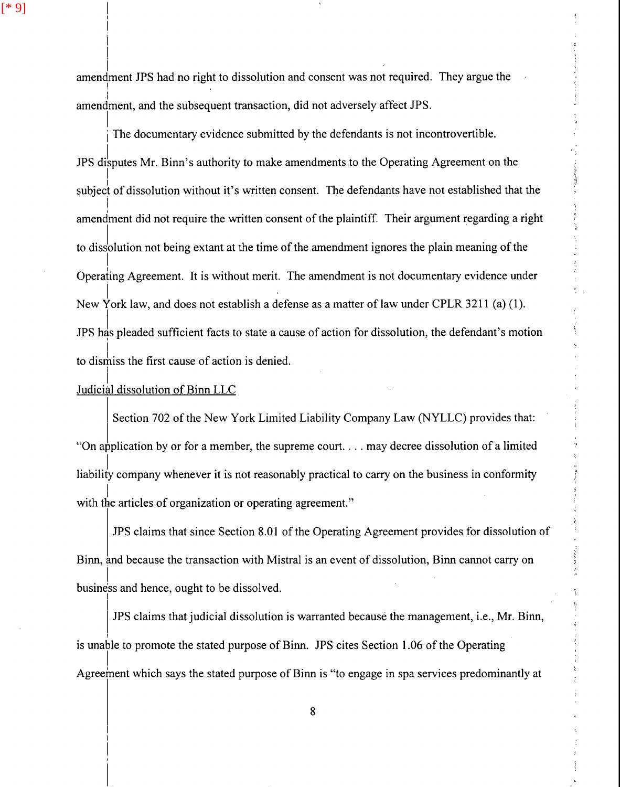I I I I

I amendment JPS had no right to dissolution and consent was not required. They argue the  $\mathbf{I}$  . The set of the set of the set of the set of the set of the set of the set of the set of the set of the set of the set of the set of the set of the set of the set of the set of the set of the set of the set of t I amendment, and the subsequent transaction, did not adversely affect JPS.

The documentary evidence submitted by the defendants is not incontrovertible. JPS disputes Mr. Binn's authority to make amendments to the Operating Agreement on the  $|\cdot|$ subject of dissolution without it's written consent. The defendants have not established that the I amendment did not require the written consent of the plaintiff. Their argument regarding a right to dissolution not being extant at the time of the amendment ignores the plain meaning of the I Operating Agreement. It is without merit. The amendment is not documentary evidence under I New York law, and does not establish a defense as a matter of law under CPLR 3211 (a) (1). JPS has pleaded sufficient facts to state a cause of action for dissolution, the defendant's motion to dismiss the first cause of action is denied.

 $\vert$ . Judicial dissolution of Binn LLC

Section 702 of the New York Limited Liability Company Law (NYLLC) provides that: "On application by or for a member, the supreme court... may decree dissolution of a limited liability company whenever it is not reasonably practical to carry on the business in conformity  $\vert$ with the articles of organization or operating agreement."

JPS claims that since Section 8.01 of the Operating Agreement provides for dissolution of Binn, and because the transaction with Mistral is an event of dissolution, Binn cannot carry on I business and hence, ought to be dissolved.

JPS claims that judicial dissolution is warranted because the management, i.e., Mr. Binn, is unable to promote the stated purpose of Binn. JPS cites Section 1.06 of the Operating  $\vert$ Agreement which says the stated purpose of Binn is "to engage in spa services predominantly at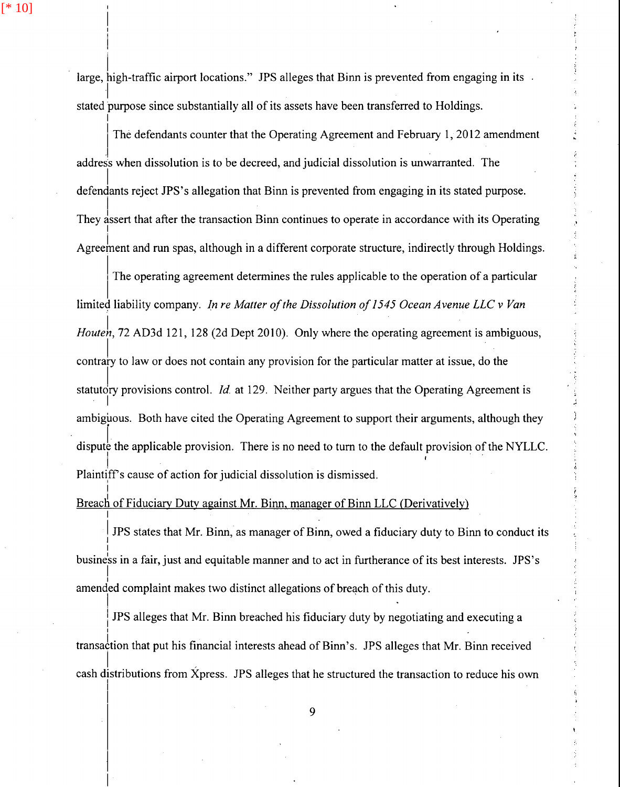$[ * 10]$ 

I I

i

I

I

I

 $\vert$ 

 $\vert$  . large, high-traffic airport locations." JPS alleges that Binn is prevented from engaging in its stated purpose since substantially all of its assets have been transferred to Holdings.

The defendants counter that the Operating Agreement and February 1, 2012 amendment address when dissolution is to be decreed, and judicial dissolution is unwarranted. The I defendants reject JPS's allegation that Binn is prevented from engaging in its stated purpose. They assert that after the transaction Binn continues to operate in accordance with its Operating Agree ment and run spas, although in a different corporate structure, indirectly through Holdings.

The operating agreement determines the rules applicable to the operation of a particular limited liability company. *In re Matter of the Dissolution of 1545 Ocean Avenue LLC v Van Houten*, 72 AD3d 121, 128 (2d Dept 2010). Only where the operating agreement is ambiguous, contrary to law or does not contain any provision for the particular matter at issue, do the statutory provisions control. *Id.* at 129. Neither party argues that the Operating Agreement is  $\vert$   $\vert$ ambiguous. Both have cited the Operating Agreement to support their arguments, although they dispute the applicable provision. There is no need to turn to the default provision of the NYLLC.  $\overline{\ }$ Plaintiff's cause of action for judicial dissolution is dismissed.

# Breach of Fiduciary Duty against Mr. Binn, manager of Binn LLC (Derivatively)

IPS states that Mr. Binn, as manager of Binn, owed a fiduciary duty to Binn to conduct its  $\mathbf{I}$ I busine'ss in a fair, just and equitable manner and to act in furtherance of its best interests. JPS 's  $\vert$ amended complaint makes two distinct allegations of breach of this duty.

I JPS alleges that Mr. Binn breached his fiduciary duty by negotiating and executing a I • Providence of the contract of the contract of the contract of the contract of the contract of the contract of the contract of the contract of the contract of the contract of the contract of the contract of the contract transaction that put his financial interests ahead of Binn's. JPS alleges that Mr. Binn received cash distributions from Xpress. JPS alleges that he structured the transaction to reduce his own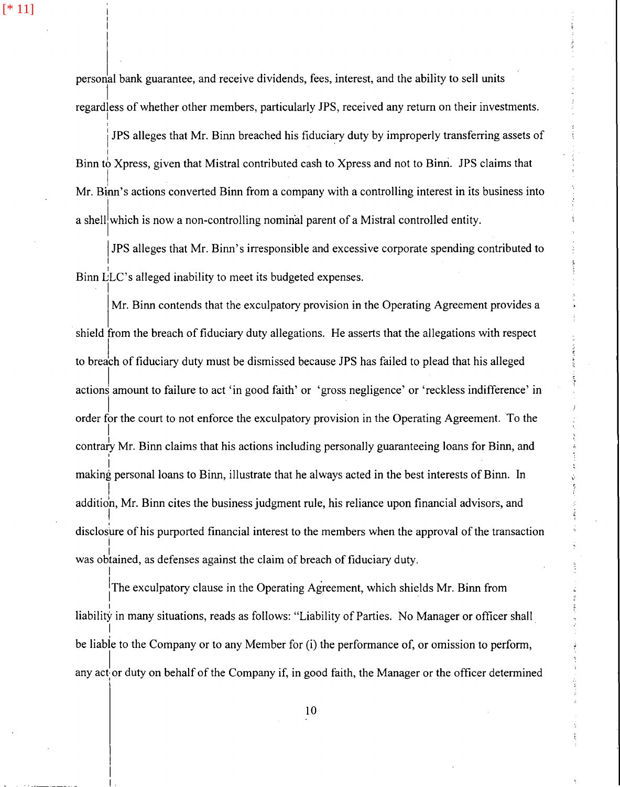[\* 11]

I

I

I  $\mathbf{I}$ 

personal bank guarantee, and receive dividends, fees, interest, and the ability to sell units 1 regardless of whether other members, particularly JPS, received any return on their investments. I

i JPS alleges that Mr. Binn breached his fiduciary duty by improperly transferring assets of I Binn *tb* Xpress, given that Mistral contributed cash to Xpress and not to Binri. JPS claims that I Mr. Binn's actions converted Binn from a company with a controlling interest in its business into a shell which is now a non-controlling nominal parent of a Mistral controlled entity.

j JPS alleges that Mr. Binn's irresponsible and excessive corporate spending contributed to Binn  $\mathcal{L}_{\parallel}^{\perp}$  LC's alleged inability to meet its budgeted expenses.

Mr. Binn contends that the exculpatory provision in the Operating Agreement provides a shield from the breach of fiduciary duty allegations. He asserts that the allegations with respect to breach of fiduciary duty must be dismissed because JPS has failed to plead that his alleged actions amount to failure to act 'in good faith' or 'gross negligence' or 'reckless indifference' in I order for the court to not enforce the exculpatory provision in the Operating Agreement. To the I contrafy Mr. Binn claims that his actions including personally guaranteeing loans for Binn, and I I making personal loans to Binn, illustrate that he always acted in the best interests of Binn. In  $\mathbf{I}$ additio'n, Mr. Binn cites the business judgment rule, his reliance upon financial advisors, and j disclosure of his purported financial interest to the members when the approval of the transaction I was obtained, as defenses against the claim of breach of fiduciary duty.

The exculpatory clause in the Operating Agreement, which shields Mr. Binn from I liability in many situations, reads as follows: "Liability of Parties. No Manager or officer shall  $\mathbf{I}$ be liable to the Company or to any Member for (i) the performance of, or omission to perform, any act or duty on behalf of the Company if, in good faith, the Manager or the officer determined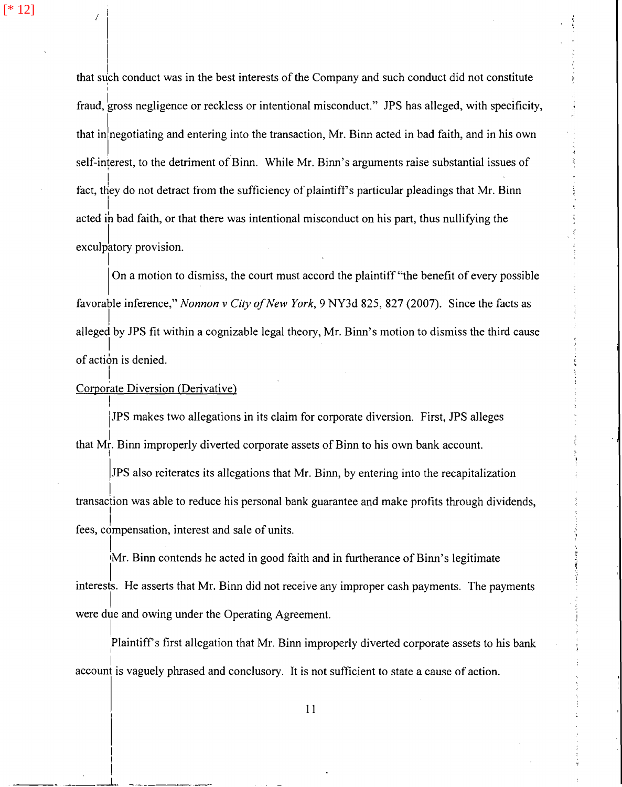[\* 12]

 $\sqrt{1}$  $\mathbb{I}$ 

I

 $\vert$ 

 $\vert$ 

 $\mathbf{I}$ I

 $\mathcal{L}_\mathrm{max} = \frac{1}{2} \sum_{i=1}^n \mathcal{L}_\mathrm{max} \left[ \frac{1}{2} \sum_{i=1}^n \mathcal{L}_\mathrm{max} \right]$ 

that such conduct was in the best interests of the Company and such conduct did not constitute I fraud, gross negligence or reckless or intentional misconduct." JPS has alleged, with specificity, that in negotiating and entering into the transaction, Mr. Binn acted in bad faith, and in his own self-interest, to the detriment of Binn. While Mr. Binn's arguments raise substantial issues of  $\vert$ fact, they do not detract from the sufficiency of plaintiff's particular pleadings that Mr. Binn I acted ih bad faith, or that there was intentional misconduct on his part, thus nullifying the exculpatory provision.

On a motion to dismiss, the court must accord the plaintiff "the benefit of every possible" favorable inference," *Nonnon v City of New York,* 9 NY3d 825, 827 (2007). Since the facts as  $\vert$  . alleged by JPS fit within a cognizable legal theory, Mr. Binn's motion to dismiss the third cause I of action is denied.

# I Corporate Diversion (Derivative)

IJPS makes two allegations in its claim for corporate diversion. First, JPS alleges that Mr. Binn improperly diverted corporate assets of Binn to his own bank account. j

IJPS also reiterates its allegations that Mr. Binn, by entering into the recapitalization ļ. transaction was able to reduce his personal bank guarantee and make profits through dividends, fees, compensation, interest and sale of units.

 $\mathsf{l}$ Mr. Binn contends he acted in good faith and in furtherance of Binn's legitimate I interests. He asserts that Mr. Binn did not receive any improper cash payments. The payments I were due and owing under the Operating Agreement.

I I Plaintiffs first allegation that Mr. Binn improperly diverted corporate assets to his bank  $\vert$  . account is vaguely phrased and conclusory. It is not sufficient to state a cause of action.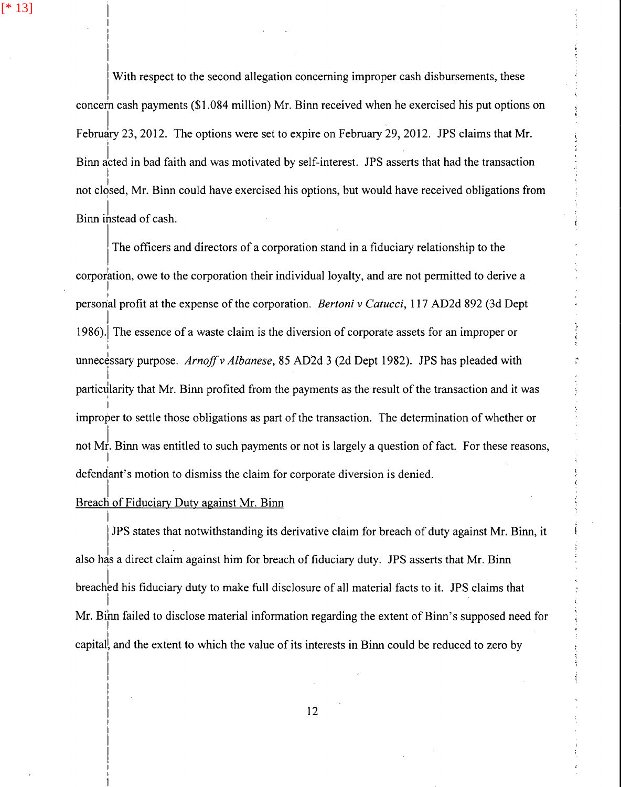[\* 13]

With respect to the second allegation concerning improper cash disbursements, these concern cash payments (\$1.084 million) Mr. Binn received when he exercised his put options on February 23, 2012. The options were set to expire on February 29, 2012. JPS claims that Mr. I Binn acted in bad faith and was motivated by self-interest. JPS asserts that had the transaction I not closed, Mr. Binn could have exercised his options, but would have received obligations from Binn instead of cash.

The officers and directors of a corporation stand in a fiduciary relationship to the corporation, owe to the corporation their individual loyalty, and are not permitted to derive a  $\mathbf{I}$ personal profit at the expense of the corporation. *Bertoni v Catucci*, 117 AD2d 892 (3d Dept  $\vert$ 1986).! The essence of a waste claim is the diversion of corporate assets for an improper or i unnecessary purpose. *Arnoff v Albanese*, 85 AD2d 3 (2d Dept 1982). JPS has pleaded with I particularity that Mr. Binn profited from the payments as the result of the transaction and it was I improper to settle those obligations as part of the transaction. The determination of whether or not Mr. Binn was entitled to such payments or not is largely a question of fact. For these reasons,  $\vert$ defendant's motion to dismiss the claim for corporate diversion is denied.

#### I Breach of Fiduciary Duty against Mr. Binn

 $\vert$ 

JPS states that notwithstanding its derivative claim for breach of duty against Mr. Binn, it also has a direct claim against him for breach of fiduciary duty. JPS asserts that Mr. Binn breached his fiduciary duty to make full disclosure of all material facts to it. JPS claims that Mr. Binn failed to disclose material information regarding the extent of Binn's supposed need for I capitall and the extent to which the value of its interests in Binn could be reduced to zero by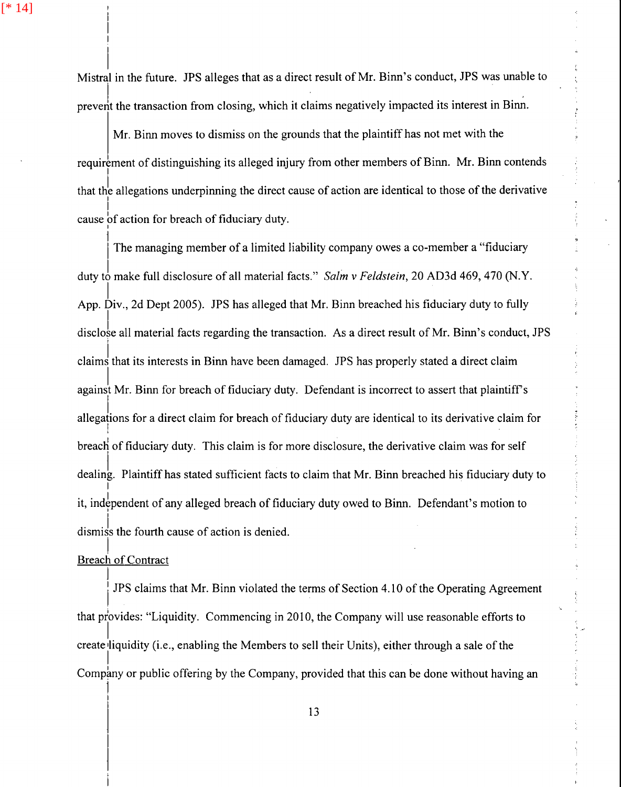[\* 14]

Mistral in the future. JPS alleges that as a direct result of Mr. Binn' s conduct, JPS was unable to prevent the transaction from closing, which it claims negatively impacted its interest in Binn.

Mr. Binn moves to dismiss on the grounds that the plaintiff has not met with the requirement of distinguishing its alleged injury from other members of Binn. Mr. Binn contends I that the allegations underpinning the direct cause of action are identical to those of the derivative I I cause of action for breach of fiduciary duty.

The managing member of a limited liability company owes a co-member a "fiduciary" duty *tl* make full disclosure of all material facts." *Salm v Feldstein,* 20 AD3d 469, 470 (N.Y. I App. Div., 2d Dept 2005). JPS has alleged that Mr. Binn breached his fiduciary duty to fully disclose all material facts regarding the transaction. As a direct result of Mr. Binn's conduct, JPS I claims that its interests in Binn have been damaged. JPS has properly stated a direct claim against Mr. Binn for breach of fiduciary duty. Defendant is incorrect to assert that plaintiff's  $\vert$ . allegations for a direct claim for breach of fiduciary duty are identical to its derivative claim for I I breach of fiduciary duty. This claim is for more disclosure, the derivative claim was for self dealing. Plaintiff has stated sufficient facts to claim that Mr. Binn breached his fiduciary duty to I it, independent of any alleged breach of fiduciary duty owed to Binn. Defendant's motion to dismiss the fourth cause of action is denied.

## I **Breach of Contract** j

1 I

i JPS claims that Mr. Binn violated the terms of Section 4.10 of the Operating Agreement that provides: "Liquidity. Commencing in 2010, the Company will use reasonable efforts to l. create liquidity (i.e., enabling the Members to sell their Units), either through a sale of the I Company or public offering by the Company, provided that this can be done without having an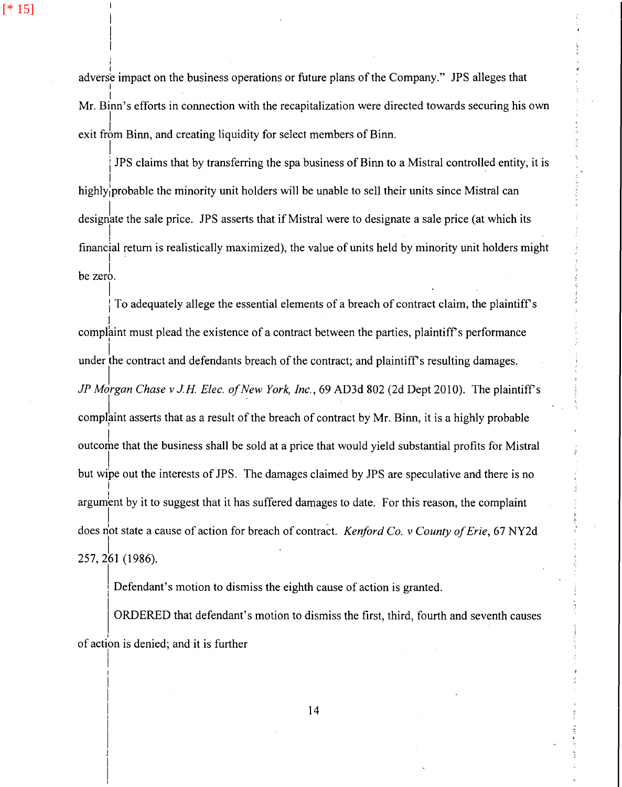[\* 15]

I

I

adverse impact on the business operations or future plans of the Company." JPS alleges that I I Mr. Binn's efforts in connection with the recapitalization were directed towards securing his own I exit from Binn, and creating liquidity for select members of Binn.

I i JPS claims that by transferring the spa business of Binn to a Mistral controlled entity, it is I highly/probable the minority unit holders will be unable to sell their units since Mistral can designate the sale price. JPS asserts that if Mistral were to designate a sale price (at which its I financial return is realistically maximized), the value of units held by minority unit holders might  $be zero.$ 

I To adequately allege the essential elements of a breach of contract claim, the plaintiff's l complaint must plead the existence of a contract between the parties, plaintiff's performance  $\vert$ , under the contract and defendants breach of the contract; and plaintiff's resulting damages. *JP Morgan Chase v J.H. Elec. of New York, Inc., 69 AD3d 802 (2d Dept 2010). The plaintiff's* complaint asserts that as a result of the breach of contract by Mr. Binn, it is a highly probable outcome that the business shall be sold at a price that would yield substantial profits for Mistral but wipe out the interests of JPS. The damages claimed by JPS are speculative and there is no I j argument by it to suggest that it has suffered damages to date. For this reason, the complaint does not state a cause of action for breach of contract. *Kenford Co. v County of Erie*, <sup>67</sup> NY2d 257, 261 (1986).

Defendant's motion to dismiss the eighth cause of action is granted.

ORDERED that defendant's motion to dismiss the first, third, fourth and seventh causes of action is denied; and it is further